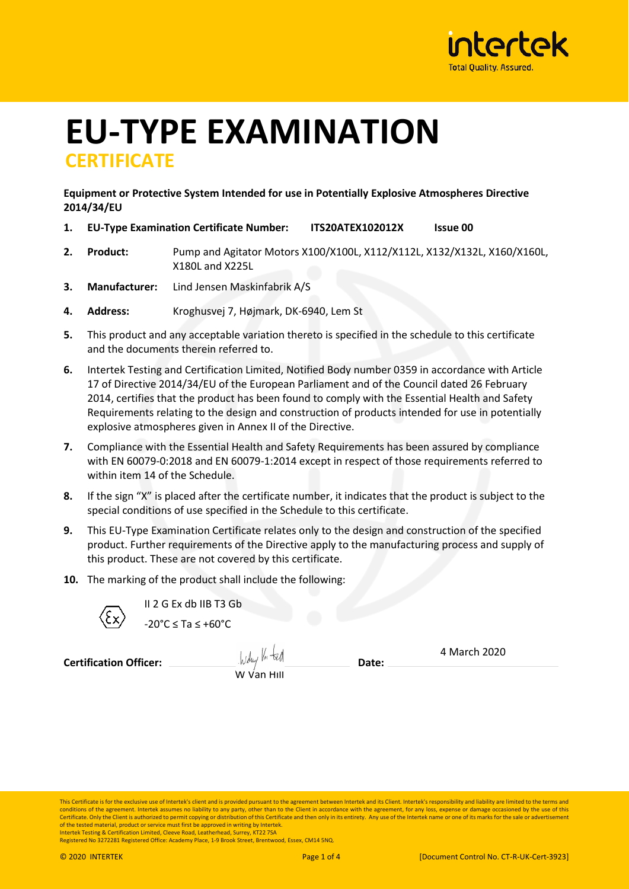

# **EU-TYPE EXAMINATION CERTIFICATE**

### **Equipment or Protective System Intended for use in Potentially Explosive Atmospheres Directive 2014/34/EU**

- **1. EU-Type Examination Certificate Number: ITS20ATEX102012X Issue 00**
- **2. Product:** Pump and Agitator Motors X100/X100L, X112/X112L, X132/X132L, X160/X160L, X180L and X225L
- **3. Manufacturer:** Lind Jensen Maskinfabrik A/S
- **4. Address:** Kroghusvej 7, Højmark, DK-6940, Lem St
- **5.** This product and any acceptable variation thereto is specified in the schedule to this certificate and the documents therein referred to.
- **6.** Intertek Testing and Certification Limited, Notified Body number 0359 in accordance with Article 17 of Directive 2014/34/EU of the European Parliament and of the Council dated 26 February 2014, certifies that the product has been found to comply with the Essential Health and Safety Requirements relating to the design and construction of products intended for use in potentially explosive atmospheres given in Annex II of the Directive.
- **7.** Compliance with the Essential Health and Safety Requirements has been assured by compliance with EN 60079-0:2018 and EN 60079-1:2014 except in respect of those requirements referred to within item 14 of the Schedule
- **8.** If the sign "X" is placed after the certificate number, it indicates that the product is subject to the special conditions of use specified in the Schedule to this certificate.
- **9.** This EU-Type Examination Certificate relates only to the design and construction of the specified product. Further requirements of the Directive apply to the manufacturing process and supply of this product. These are not covered by this certificate.
- **10.** The marking of the product shall include the following:



II 2 G Ex db IIB T3 Gb  $-20^{\circ}$ C < Ta <  $+60^{\circ}$ C

**Certification Officer:** <u>Allen Bureau and Bureau</u> Date:

Wduy Vn ted

4 March 2020

This Certificate is for the exclusive use of Intertek's client and is provided pursuant to the agreement between Intertek and its Client. Intertek's responsibility and liability are limited to the terms and conditions of the agreement. Intertek assumes no liability to any party, other than to the Client in accordance with the agreement, for any loss, expense or damage occasioned by the use of this Certificate. Only the Client is authorized to permit copying or distribution of this Certificate and then only in its entirety. Any use of the Intertek name or one of its marks for the sale or advertise of the tested material, product or service must first be approved in writing by Intertek. Intertek Testing & Certification Limited, Cleeve Road, Leatherhead, Surrey, KT22 7SA

Registered No 3272281 Registered Office: Academy Place, 1-9 Brook Street, Brentwood, Essex, CM14 5NQ.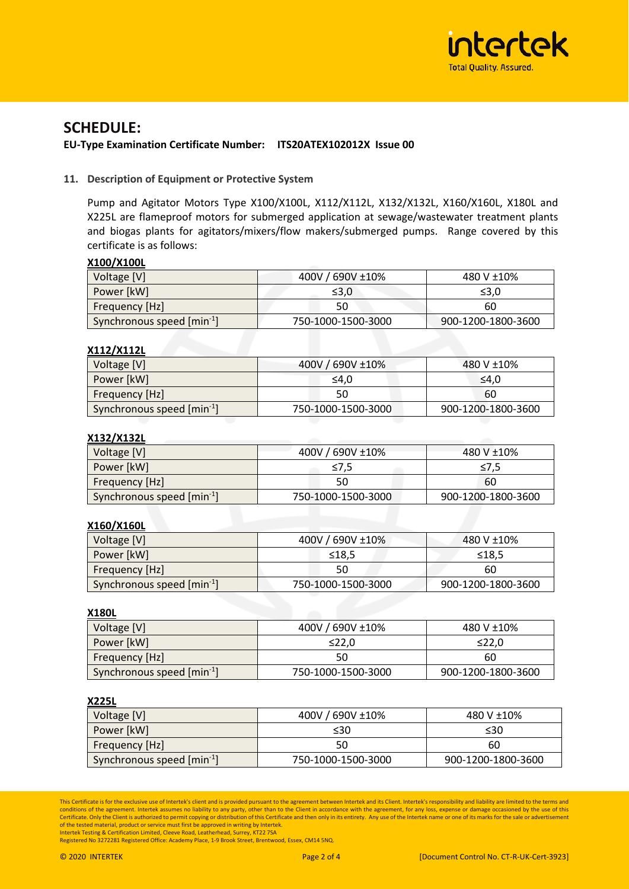

## **SCHEDULE:**

#### **EU-Type Examination Certificate Number: ITS20ATEX102012X Issue 00**

#### **11. Description of Equipment or Protective System**

Pump and Agitator Motors Type X100/X100L, X112/X112L, X132/X132L, X160/X160L, X180L and X225L are flameproof motors for submerged application at sewage/wastewater treatment plants and biogas plants for agitators/mixers/flow makers/submerged pumps. Range covered by this certificate is as follows:

#### **X100/X100L**

| Voltage [V]                            | 400V / 690V ±10%   | 480 V ±10% |  |
|----------------------------------------|--------------------|------------|--|
| Power [kW]                             | ≤3,0               | ≤3,0       |  |
| Frequency [Hz]                         | 50                 | 60         |  |
| Synchronous speed [min <sup>-1</sup> ] | 750-1000-1500-3000 |            |  |

#### **X112/X112L**

| Voltage [V]                            | 400V / 690V ±10%   | 480 V ±10%         |  |
|----------------------------------------|--------------------|--------------------|--|
| Power [kW]                             | ≤4.0               | ≤4.0               |  |
| Frequency [Hz]                         | 50                 | 60                 |  |
| Synchronous speed [min <sup>-1</sup> ] | 750-1000-1500-3000 | 900-1200-1800-3600 |  |

#### **X132/X132L**

| Voltage [V]                            | 400V / 690V ±10%   | 480 V ±10%         |  |
|----------------------------------------|--------------------|--------------------|--|
| Power [kW]                             | ≤7.5               | ≤7,5               |  |
| <b>Frequency [Hz]</b>                  | 50                 | 60                 |  |
| Synchronous speed [min <sup>-1</sup> ] | 750-1000-1500-3000 | 900-1200-1800-3600 |  |

## **X160/X160L**

| Voltage [V]                            | 400V / 690V ±10%   | 480 V ±10%         |  |
|----------------------------------------|--------------------|--------------------|--|
| Power [kW]                             | ≤18,5              | ≤18,5              |  |
| Frequency [Hz]                         | 50                 | 60                 |  |
| Synchronous speed [min <sup>-1</sup> ] | 750-1000-1500-3000 | 900-1200-1800-3600 |  |

**X180L**

| Voltage [V]                            | 400V / 690V ±10%                         | 480 V ±10% |  |
|----------------------------------------|------------------------------------------|------------|--|
| Power [kW]                             | ≤22.0                                    | ≤22.0      |  |
| Frequency [Hz]                         | 50                                       | 60         |  |
| Synchronous speed [min <sup>-1</sup> ] | 900-1200-1800-3600<br>750-1000-1500-3000 |            |  |

#### **X225L**

| Voltage [V]                            | 400V / 690V ±10%<br>480 V ±10% |                    |  |
|----------------------------------------|--------------------------------|--------------------|--|
| Power [kW]                             | ≤30                            | ≤30                |  |
| Frequency [Hz]                         | 50                             | 60                 |  |
| Synchronous speed [min <sup>-1</sup> ] | 750-1000-1500-3000             | 900-1200-1800-3600 |  |

This Certificate is for the exclusive use of Intertek's client and is provided pursuant to the agreement between Intertek and its Client. Intertek's responsibility and liability are limited to the terms and<br>conditions of t Certificate. Only the Client is authorized to permit copying or distribution of this Certificate and then only in its entirety. Any use of the Intertek name or one of its marks for the sale or advertisement of the tested material, product or service must first be approved in writing by Intertek. Intertek Testing & Certification Limited, Cleeve Road, Leatherhead, Surrey, KT22 7SA

Registered No 3272281 Registered Office: Academy Place, 1-9 Brook Street, Brentwood, Essex, CM14 5NQ.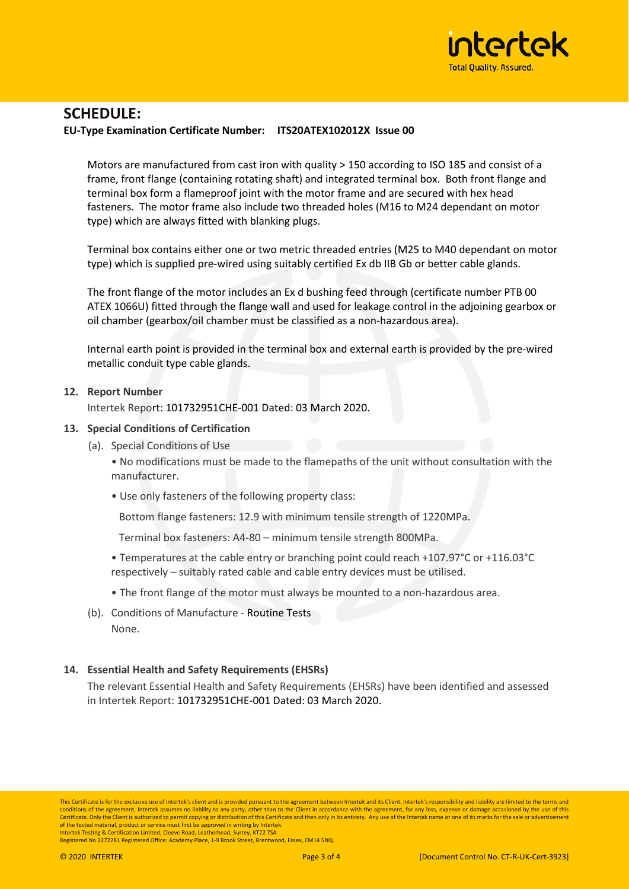

# **SCHEDULE:**

#### **EU-Type Examination Certificate Number: ITS20ATEX102012X Issue 00**

Motors are manufactured from cast iron with quality > 150 according to ISO 185 and consist of a frame, front flange (containing rotating shaft) and integrated terminal box. Both front flange and terminal box form a flameproof joint with the motor frame and are secured with hex head fasteners. The motor frame also include two threaded holes (M16 to M24 dependant on motor type) which are always fitted with blanking plugs.

Terminal box contains either one or two metric threaded entries (M25 to M40 dependant on motor type) which is supplied pre-wired using suitably certified Ex db IIB Gb or better cable glands.

The front flange of the motor includes an Ex d bushing feed through (certificate number PTB 00 ATEX 1066U) fitted through the flange wall and used for leakage control in the adjoining gearbox or oil chamber (gearbox/oil chamber must be classified as a non-hazardous area).

Internal earth point is provided in the terminal box and external earth is provided by the pre-wired metallic conduit type cable glands.

#### **12. Report Number**

Intertek Report: 101732951CHE-001 Dated: 03 March 2020.

#### **13. Special Conditions of Certification**

(a). Special Conditions of Use

• No modifications must be made to the flamepaths of the unit without consultation with the manufacturer.

• Use only fasteners of the following property class:

Bottom flange fasteners: 12.9 with minimum tensile strength of 1220MPa.

Terminal box fasteners: A4-80 – minimum tensile strength 800MPa.

- Temperatures at the cable entry or branching point could reach +107.97°C or +116.03°C respectively – suitably rated cable and cable entry devices must be utilised.
- The front flange of the motor must always be mounted to a non-hazardous area.
- (b). Conditions of Manufacture Routine Tests None.

#### **14. Essential Health and Safety Requirements (EHSRs)**

The relevant Essential Health and Safety Requirements (EHSRs) have been identified and assessed in Intertek Report: 101732951CHE-001 Dated: 03 March 2020.

Registered No 3272281 Registered Office: Academy Place, 1-9 Brook Street, Brentwood, Essex, CM14 5NQ.